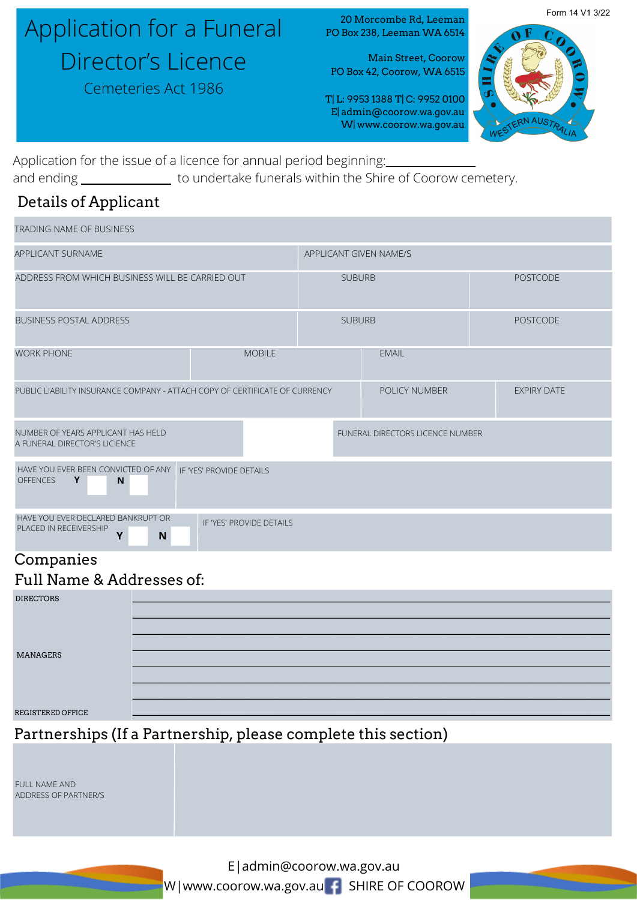# Application for a Funeral Director's Licence

Cemeteries Act 1986

20 Morcombe Rd, Leeman PO Box 238, Leeman WA 6514

Main Street, Coorow PO Box 42, Coorow, WA 6515

T| L: 9953 1388 T| C: 9952 0100 E| admin@coorow.wa.gov.au W| www.coorow.wa.gov.au



Form 14 V1 3/22

Application for the issue of a licence for annual period beginning: and ending \_\_\_\_\_\_\_\_\_\_\_\_\_\_\_\_\_ to undertake funerals within the Shire of Coorow cemetery.

## Details of Applicant

| <b>TRADING NAME OF BUSINESS</b>                                                |                          |                        |                                         |                    |
|--------------------------------------------------------------------------------|--------------------------|------------------------|-----------------------------------------|--------------------|
| <b>APPLICANT SURNAME</b>                                                       |                          | APPLICANT GIVEN NAME/S |                                         |                    |
| ADDRESS FROM WHICH BUSINESS WILL BE CARRIED OUT                                |                          | <b>SUBURB</b>          |                                         | <b>POSTCODE</b>    |
| <b>BUSINESS POSTAL ADDRESS</b>                                                 |                          | <b>SUBURB</b>          |                                         | <b>POSTCODE</b>    |
| <b>WORK PHONE</b>                                                              | <b>MOBILE</b>            |                        | <b>EMAIL</b>                            |                    |
| PUBLIC LIABILITY INSURANCE COMPANY - ATTACH COPY OF CERTIFICATE OF CURRENCY    |                          |                        | POLICY NUMBER                           | <b>EXPIRY DATE</b> |
| NUMBER OF YEARS APPLICANT HAS HELD<br>A FUNERAL DIRECTOR'S LICIENCE            |                          |                        | <b>FUNERAL DIRECTORS LICENCE NUMBER</b> |                    |
| HAVE YOU EVER BEEN CONVICTED OF ANY<br>Y<br><b>OFFENCES</b><br>N               | IF 'YES' PROVIDE DETAILS |                        |                                         |                    |
| HAVE YOU EVER DECLARED BANKRUPT OR<br>PLACED IN RECEIVERSHIP<br>N<br>$\bullet$ | IF 'YES' PROVIDE DETAILS |                        |                                         |                    |

## Companies

## Full Name & Addresses of:

| <b>DIRECTORS</b>  |  |
|-------------------|--|
|                   |  |
|                   |  |
|                   |  |
| <b>MANAGERS</b>   |  |
|                   |  |
|                   |  |
| REGISTERED OFFICE |  |

Partnerships (If a Partnership, please complete this section)

FULL NAME AND ADDRESS OF PARTNER/S